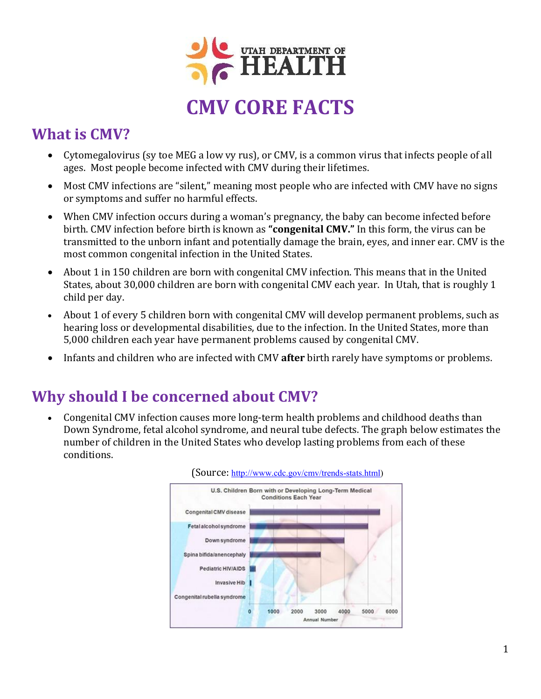

## **What is CMV?**

- Cytomegalovirus (sy toe MEG a low vy rus), or CMV, is a common virus that infects people of all ages. Most people become infected with CMV during their lifetimes.
- Most CMV infections are "silent," meaning most people who are infected with CMV have no signs or symptoms and suffer no harmful effects.
- When CMV infection occurs during a woman's pregnancy, the baby can become infected before birth. CMV infection before birth is known as **"congenital CMV."** In this form, the virus can be transmitted to the unborn infant and potentially damage the brain, eyes, and inner ear. CMV is the most common congenital infection in the United States.
- About 1 in 150 children are born with congenital CMV infection. This means that in the United States, about 30,000 children are born with congenital CMV each year. In Utah, that is roughly 1 child per day.
- About 1 of every 5 children born with congenital CMV will develop permanent problems, such as hearing loss or developmental disabilities, due to the infection. In the United States, more than 5,000 children each year have permanent problems caused by congenital CMV.
- Infants and children who are infected with CMV **after** birth rarely have symptoms or problems.

#### **Why should I be concerned about CMV?**

 Congenital CMV infection causes more long-term health problems and childhood deaths than Down Syndrome, fetal alcohol syndrome, and neural tube defects. The graph below estimates the number of children in the United States who develop lasting problems from each of these conditions.



#### (Source: [http://www.cdc.gov/cmv/trends-stats.html\)](http://www.cdc.gov/cmv/trends-stats.html)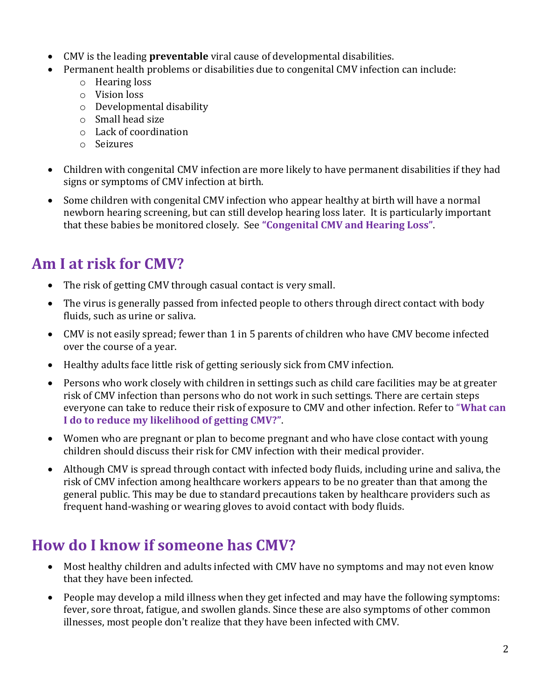- CMV is the leading **preventable** viral cause of developmental disabilities.
- Permanent health problems or disabilities due to congenital CMV infection can include:
	- o Hearing loss
	- o Vision loss
	- o Developmental disability
	- o Small head size
	- o Lack of coordination
	- o Seizures
- Children with congenital CMV infection are more likely to have permanent disabilities if they had signs or symptoms of CMV infection at birth.
- Some children with congenital CMV infection who appear healthy at birth will have a normal newborn hearing screening, but can still develop hearing loss later. It is particularly important that these babies be monitored closely. See **"Congenital CMV and Hearing Loss"**.

# **Am I at risk for CMV?**

- The risk of getting CMV through casual contact is very small.
- The virus is generally passed from infected people to others through direct contact with body fluids, such as urine or saliva.
- CMV is not easily spread; fewer than 1 in 5 parents of children who have CMV become infected over the course of a year.
- Healthy adults face little risk of getting seriously sick from CMV infection.
- Persons who work closely with children in settings such as child care facilities may be at greater risk of CMV infection than persons who do not work in such settings. There are certain steps everyone can take to reduce their risk of exposure to CMV and other infection. Refer to "**What can I do to reduce my likelihood of getting CMV?"**.
- Women who are pregnant or plan to become pregnant and who have close contact with young children should discuss their risk for CMV infection with their medical provider.
- Although CMV is spread through contact with infected body fluids, including urine and saliva, the risk of CMV infection among healthcare workers appears to be no greater than that among the general public. This may be due to standard precautions taken by healthcare providers such as frequent hand-washing or wearing gloves to avoid contact with body fluids.

## **How do I know if someone has CMV?**

- Most healthy children and adults infected with CMV have no symptoms and may not even know that they have been infected.
- People may develop a mild illness when they get infected and may have the following symptoms: fever, sore throat, fatigue, and swollen glands. Since these are also symptoms of other common illnesses, most people don't realize that they have been infected with CMV.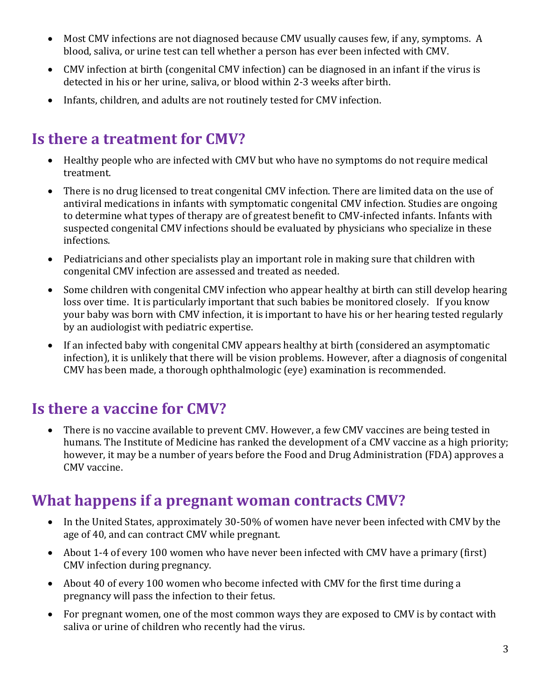- Most CMV infections are not diagnosed because CMV usually causes few, if any, symptoms. A blood, saliva, or urine test can tell whether a person has ever been infected with CMV.
- CMV infection at birth (congenital CMV infection) can be diagnosed in an infant if the virus is detected in his or her urine, saliva, or blood within 2-3 weeks after birth.
- Infants, children, and adults are not routinely tested for CMV infection.

#### **Is there a treatment for CMV?**

- Healthy people who are infected with CMV but who have no symptoms do not require medical treatment.
- There is no drug licensed to treat congenital CMV infection. There are limited data on the use of antiviral medications in infants with symptomatic congenital CMV infection. Studies are ongoing to determine what types of therapy are of greatest benefit to CMV-infected infants. Infants with suspected congenital CMV infections should be evaluated by physicians who specialize in these infections.
- Pediatricians and other specialists play an important role in making sure that children with congenital CMV infection are assessed and treated as needed.
- Some children with congenital CMV infection who appear healthy at birth can still develop hearing loss over time. It is particularly important that such babies be monitored closely. If you know your baby was born with CMV infection, it is important to have his or her hearing tested regularly by an audiologist with pediatric expertise.
- If an infected baby with congenital CMV appears healthy at birth (considered an asymptomatic infection), it is unlikely that there will be vision problems. However, after a diagnosis of congenital CMV has been made, a thorough ophthalmologic (eye) examination is recommended.

## **Is there a vaccine for CMV?**

 There is no vaccine available to prevent CMV. However, a few CMV vaccines are being tested in humans. The Institute of Medicine has ranked the development of a CMV vaccine as a high priority; however, it may be a number of years before the Food and Drug Administration (FDA) approves a CMV vaccine.

#### **What happens if a pregnant woman contracts CMV?**

- In the United States, approximately 30-50% of women have never been infected with CMV by the age of 40, and can contract CMV while pregnant.
- About 1-4 of every 100 women who have never been infected with CMV have a primary (first) CMV infection during pregnancy.
- About 40 of every 100 women who become infected with CMV for the first time during a pregnancy will pass the infection to their fetus.
- For pregnant women, one of the most common ways they are exposed to CMV is by contact with saliva or urine of children who recently had the virus.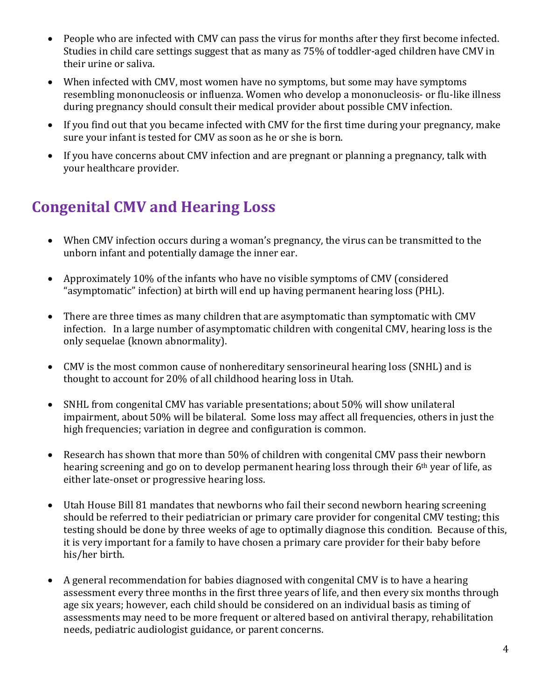- People who are infected with CMV can pass the virus for months after they first become infected. Studies in child care settings suggest that as many as 75% of toddler-aged children have CMV in their urine or saliva.
- When infected with CMV, most women have no symptoms, but some may have symptoms resembling mononucleosis or influenza. Women who develop a mononucleosis- or flu-like illness during pregnancy should consult their medical provider about possible CMV infection.
- If you find out that you became infected with CMV for the first time during your pregnancy, make sure your infant is tested for CMV as soon as he or she is born.
- If you have concerns about CMV infection and are pregnant or planning a pregnancy, talk with your healthcare provider.

# **Congenital CMV and Hearing Loss**

- When CMV infection occurs during a woman's pregnancy, the virus can be transmitted to the unborn infant and potentially damage the inner ear.
- Approximately 10% of the infants who have no visible symptoms of CMV (considered "asymptomatic" infection) at birth will end up having permanent hearing loss (PHL).
- There are three times as many children that are asymptomatic than symptomatic with CMV infection. In a large number of asymptomatic children with congenital CMV, hearing loss is the only sequelae (known abnormality).
- CMV is the most common cause of nonhereditary sensorineural hearing loss (SNHL) and is thought to account for 20% of all childhood hearing loss in Utah.
- SNHL from congenital CMV has variable presentations; about 50% will show unilateral impairment, about 50% will be bilateral. Some loss may affect all frequencies, others in just the high frequencies; variation in degree and configuration is common.
- Research has shown that more than 50% of children with congenital CMV pass their newborn hearing screening and go on to develop permanent hearing loss through their 6th year of life, as either late-onset or progressive hearing loss.
- Utah House Bill 81 mandates that newborns who fail their second newborn hearing screening should be referred to their pediatrician or primary care provider for congenital CMV testing; this testing should be done by three weeks of age to optimally diagnose this condition. Because of this, it is very important for a family to have chosen a primary care provider for their baby before his/her birth.
- A general recommendation for babies diagnosed with congenital CMV is to have a hearing assessment every three months in the first three years of life, and then every six months through age six years; however, each child should be considered on an individual basis as timing of assessments may need to be more frequent or altered based on antiviral therapy, rehabilitation needs, pediatric audiologist guidance, or parent concerns.